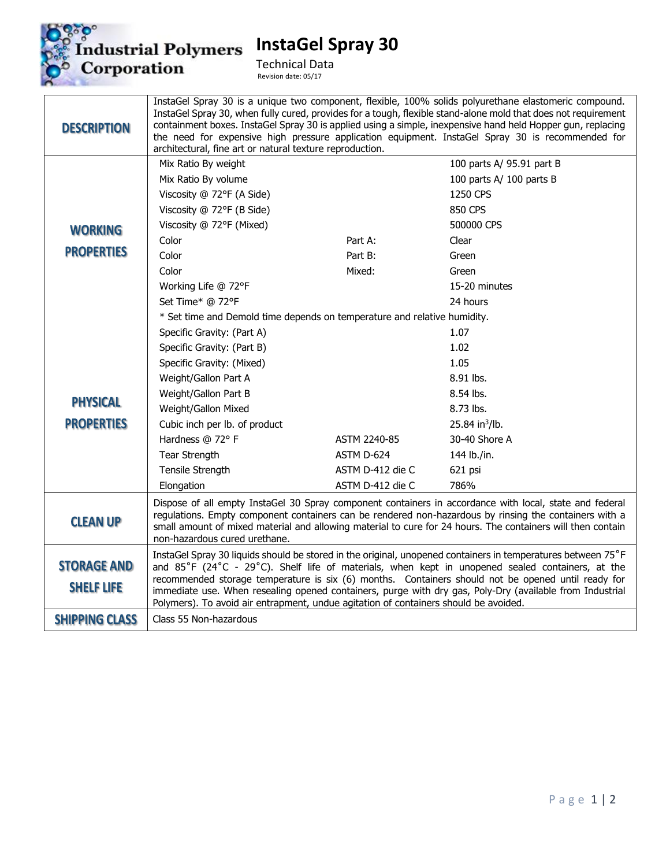

**InstaGel Spray 30**

Technical Data Revision date: 05/17

| <b>DESCRIPTION</b>                      | architectural, fine art or natural texture reproduction.                                                                                                                                                                                                                                                                                                                                                                                                                                                                   |                  | InstaGel Spray 30 is a unique two component, flexible, 100% solids polyurethane elastomeric compound.<br>InstaGel Spray 30, when fully cured, provides for a tough, flexible stand-alone mold that does not requirement<br>containment boxes. InstaGel Spray 30 is applied using a simple, inexpensive hand held Hopper gun, replacing<br>the need for expensive high pressure application equipment. InstaGel Spray 30 is recommended for |
|-----------------------------------------|----------------------------------------------------------------------------------------------------------------------------------------------------------------------------------------------------------------------------------------------------------------------------------------------------------------------------------------------------------------------------------------------------------------------------------------------------------------------------------------------------------------------------|------------------|--------------------------------------------------------------------------------------------------------------------------------------------------------------------------------------------------------------------------------------------------------------------------------------------------------------------------------------------------------------------------------------------------------------------------------------------|
|                                         | Mix Ratio By weight                                                                                                                                                                                                                                                                                                                                                                                                                                                                                                        |                  | 100 parts A/ 95.91 part B                                                                                                                                                                                                                                                                                                                                                                                                                  |
|                                         | Mix Ratio By volume                                                                                                                                                                                                                                                                                                                                                                                                                                                                                                        |                  | 100 parts A/ 100 parts B                                                                                                                                                                                                                                                                                                                                                                                                                   |
|                                         | Viscosity @ 72°F (A Side)                                                                                                                                                                                                                                                                                                                                                                                                                                                                                                  |                  | 1250 CPS                                                                                                                                                                                                                                                                                                                                                                                                                                   |
|                                         | Viscosity @ 72°F (B Side)                                                                                                                                                                                                                                                                                                                                                                                                                                                                                                  |                  | 850 CPS                                                                                                                                                                                                                                                                                                                                                                                                                                    |
| <b>WORKING</b>                          | Viscosity @ 72°F (Mixed)                                                                                                                                                                                                                                                                                                                                                                                                                                                                                                   |                  | 500000 CPS                                                                                                                                                                                                                                                                                                                                                                                                                                 |
|                                         | Color                                                                                                                                                                                                                                                                                                                                                                                                                                                                                                                      | Part A:          | Clear                                                                                                                                                                                                                                                                                                                                                                                                                                      |
| <b>PROPERTIES</b>                       | Color                                                                                                                                                                                                                                                                                                                                                                                                                                                                                                                      | Part B:          | Green                                                                                                                                                                                                                                                                                                                                                                                                                                      |
|                                         | Color                                                                                                                                                                                                                                                                                                                                                                                                                                                                                                                      | Mixed:           | Green                                                                                                                                                                                                                                                                                                                                                                                                                                      |
|                                         | Working Life @ 72°F                                                                                                                                                                                                                                                                                                                                                                                                                                                                                                        |                  | 15-20 minutes                                                                                                                                                                                                                                                                                                                                                                                                                              |
|                                         | Set Time* @ 72°F                                                                                                                                                                                                                                                                                                                                                                                                                                                                                                           |                  | 24 hours                                                                                                                                                                                                                                                                                                                                                                                                                                   |
|                                         | * Set time and Demold time depends on temperature and relative humidity.                                                                                                                                                                                                                                                                                                                                                                                                                                                   |                  |                                                                                                                                                                                                                                                                                                                                                                                                                                            |
|                                         | Specific Gravity: (Part A)                                                                                                                                                                                                                                                                                                                                                                                                                                                                                                 |                  | 1.07                                                                                                                                                                                                                                                                                                                                                                                                                                       |
|                                         | Specific Gravity: (Part B)                                                                                                                                                                                                                                                                                                                                                                                                                                                                                                 |                  | 1.02                                                                                                                                                                                                                                                                                                                                                                                                                                       |
|                                         | Specific Gravity: (Mixed)                                                                                                                                                                                                                                                                                                                                                                                                                                                                                                  |                  | 1.05                                                                                                                                                                                                                                                                                                                                                                                                                                       |
|                                         | Weight/Gallon Part A                                                                                                                                                                                                                                                                                                                                                                                                                                                                                                       |                  | 8.91 lbs.                                                                                                                                                                                                                                                                                                                                                                                                                                  |
| <b>PHYSICAL</b>                         | Weight/Gallon Part B                                                                                                                                                                                                                                                                                                                                                                                                                                                                                                       |                  | 8.54 lbs.                                                                                                                                                                                                                                                                                                                                                                                                                                  |
|                                         | Weight/Gallon Mixed                                                                                                                                                                                                                                                                                                                                                                                                                                                                                                        |                  | 8.73 lbs.                                                                                                                                                                                                                                                                                                                                                                                                                                  |
| <b>PROPERTIES</b>                       | Cubic inch per lb. of product                                                                                                                                                                                                                                                                                                                                                                                                                                                                                              |                  | 25.84 in <sup>3</sup> /lb.                                                                                                                                                                                                                                                                                                                                                                                                                 |
|                                         | Hardness @ 72° F                                                                                                                                                                                                                                                                                                                                                                                                                                                                                                           | ASTM 2240-85     | 30-40 Shore A                                                                                                                                                                                                                                                                                                                                                                                                                              |
|                                         | Tear Strength                                                                                                                                                                                                                                                                                                                                                                                                                                                                                                              | ASTM D-624       | 144 lb./in.                                                                                                                                                                                                                                                                                                                                                                                                                                |
|                                         | Tensile Strength                                                                                                                                                                                                                                                                                                                                                                                                                                                                                                           | ASTM D-412 die C | 621 psi                                                                                                                                                                                                                                                                                                                                                                                                                                    |
|                                         | Elongation                                                                                                                                                                                                                                                                                                                                                                                                                                                                                                                 | ASTM D-412 die C | 786%                                                                                                                                                                                                                                                                                                                                                                                                                                       |
| <b>CLEAN UP</b>                         | Dispose of all empty InstaGel 30 Spray component containers in accordance with local, state and federal<br>regulations. Empty component containers can be rendered non-hazardous by rinsing the containers with a<br>small amount of mixed material and allowing material to cure for 24 hours. The containers will then contain<br>non-hazardous cured urethane.                                                                                                                                                          |                  |                                                                                                                                                                                                                                                                                                                                                                                                                                            |
| <b>STORAGE AND</b><br><b>SHELF LIFE</b> | InstaGel Spray 30 liquids should be stored in the original, unopened containers in temperatures between 75°F<br>and 85°F (24°C - 29°C). Shelf life of materials, when kept in unopened sealed containers, at the<br>recommended storage temperature is six (6) months. Containers should not be opened until ready for<br>immediate use. When resealing opened containers, purge with dry gas, Poly-Dry (available from Industrial<br>Polymers). To avoid air entrapment, undue agitation of containers should be avoided. |                  |                                                                                                                                                                                                                                                                                                                                                                                                                                            |
| <b>SHIPPING CLASS</b>                   | Class 55 Non-hazardous                                                                                                                                                                                                                                                                                                                                                                                                                                                                                                     |                  |                                                                                                                                                                                                                                                                                                                                                                                                                                            |
|                                         |                                                                                                                                                                                                                                                                                                                                                                                                                                                                                                                            |                  |                                                                                                                                                                                                                                                                                                                                                                                                                                            |